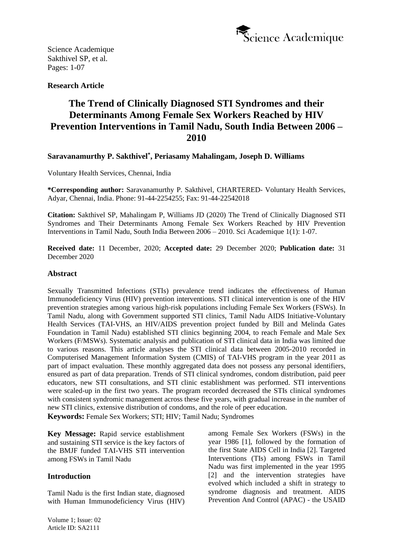

**Research Article**

# **The Trend of Clinically Diagnosed STI Syndromes and their Determinants Among Female Sex Workers Reached by HIV Prevention Interventions in Tamil Nadu, South India Between 2006 – 2010**

# **Saravanamurthy P. Sakthivel\* , Periasamy Mahalingam, Joseph D. Williams**

Voluntary Health Services, Chennai, India

**\*Corresponding author:** Saravanamurthy P. Sakthivel, CHARTERED- Voluntary Health Services, Adyar, Chennai, India. Phone: 91-44-2254255; Fax: 91-44-22542018

**Citation:** Sakthivel SP, Mahalingam P, Williams JD (2020) The Trend of Clinically Diagnosed STI Syndromes and Their Determinants Among Female Sex Workers Reached by HIV Prevention Interventions in Tamil Nadu, South India Between 2006 – 2010. Sci Academique 1(1): 1-07.

**Received date:** 11 December, 2020; **Accepted date:** 29 December 2020; **Publication date:** 31 December 2020

#### **Abstract**

Sexually Transmitted Infections (STIs) prevalence trend indicates the effectiveness of Human Immunodeficiency Virus (HIV) prevention interventions. STI clinical intervention is one of the HIV prevention strategies among various high-risk populations including Female Sex Workers (FSWs). In Tamil Nadu, along with Government supported STI clinics, Tamil Nadu AIDS Initiative-Voluntary Health Services (TAI-VHS, an HIV/AIDS prevention project funded by Bill and Melinda Gates Foundation in Tamil Nadu) established STI clinics beginning 2004, to reach Female and Male Sex Workers (F/MSWs). Systematic analysis and publication of STI clinical data in India was limited due to various reasons. This article analyses the STI clinical data between 2005-2010 recorded in Computerised Management Information System (CMIS) of TAI-VHS program in the year 2011 as part of impact evaluation. These monthly aggregated data does not possess any personal identifiers, ensured as part of data preparation. Trends of STI clinical syndromes, condom distribution, paid peer educators, new STI consultations, and STI clinic establishment was performed. STI interventions were scaled-up in the first two years. The program recorded decreased the STIs clinical syndromes with consistent syndromic management across these five years, with gradual increase in the number of new STI clinics, extensive distribution of condoms, and the role of peer education.

**Keywords:** Female Sex Workers; STI; HIV; Tamil Nadu; Syndromes

**Key Message:** Rapid service establishment and sustaining STI service is the key factors of the BMJF funded TAI-VHS STI intervention among FSWs in Tamil Nadu

#### **Introduction**

Tamil Nadu is the first Indian state, diagnosed with Human Immunodeficiency Virus (HIV) among Female Sex Workers (FSWs) in the year 1986 [1], followed by the formation of the first State AIDS Cell in India [2]. Targeted Interventions (TIs) among FSWs in Tamil Nadu was first implemented in the year 1995 [2] and the intervention strategies have evolved which included a shift in strategy to syndrome diagnosis and treatment. AIDS Prevention And Control (APAC) - the USAID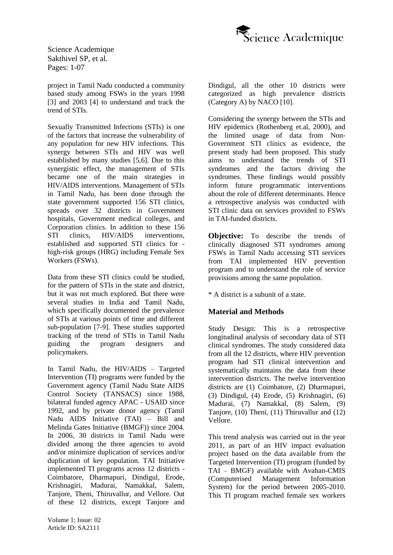

project in Tamil Nadu conducted a community based study among FSWs in the years 1998 [3] and 2003 [4] to understand and track the trend of STIs.

Sexually Transmitted Infections (STIs) is one of the factors that increase the vulnerability of any population for new HIV infections. This synergy between STIs and HIV was well established by many studies [5,6]. Due to this synergistic effect, the management of STIs became one of the main strategies in HIV/AIDS interventions. Management of STIs in Tamil Nadu, has been done through the state government supported 156 STI clinics, spreads over 32 districts in Government hospitals, Government medical colleges, and Corporation clinics. In addition to these 156 STI clinics, HIV/AIDS interventions, established and supported STI clinics for high-risk groups (HRG) including Female Sex Workers (FSWs).

Data from these STI clinics could be studied, for the pattern of STIs in the state and district, but it was not much explored. But there were several studies in India and Tamil Nadu, which specifically documented the prevalence of STIs at various points of time and different sub-population [7-9]. These studies supported tracking of the trend of STIs in Tamil Nadu guiding the program designers and policymakers.

In Tamil Nadu, the HIV/AIDS – Targeted Intervention (TI) programs were funded by the Government agency (Tamil Nadu State AIDS Control Society (TANSACS) since 1988, bilateral funded agency APAC - USAID since 1992, and by private donor agency (Tamil Nadu AIDS Initiative (TAI) – Bill and Melinda Gates Initiative (BMGF)) since 2004. In 2006, 30 districts in Tamil Nadu were divided among the three agencies to avoid and/or minimize duplication of services and/or duplication of key population. TAI Initiative implemented TI programs across 12 districts - Coimbatore, Dharmapuri, Dindigul, Erode, Krishnagiri, Madurai, Namakkal, Salem, Tanjore, Theni, Thiruvallur, and Vellore. Out of these 12 districts, except Tanjore and Dindigul, all the other 10 districts were categorized as high prevalence districts (Category A) by NACO [10].

Considering the synergy between the STIs and HIV epidemics (Rothenberg et.al, 2000), and the limited usage of data from Non-Government STI clinics as evidence, the present study had been proposed. This study aims to understand the trends of STI syndromes and the factors driving the syndromes. These findings would possibly inform future programmatic interventions about the role of different determinants. Hence a retrospective analysis was conducted with STI clinic data on services provided to FSWs in TAI-funded districts.

**Objective:** To describe the trends of clinically diagnosed STI syndromes among FSWs in Tamil Nadu accessing STI services from TAI implemented HIV prevention program and to understand the role of service provisions among the same population.

\* A district is a subunit of a state.

## **Material and Methods**

Study Design: This is a retrospective longitudinal analysis of secondary data of STI clinical syndromes. The study considered data from all the 12 districts, where HIV prevention program had STI clinical intervention and systematically maintains the data from these intervention districts. The twelve intervention districts are (1) Coimbatore, (2) Dharmapuri, (3) Dindigul, (4) Erode, (5) Krishnagiri, (6) Madurai, (7) Namakkal, (8) Salem, (9) Tanjore, (10) Theni, (11) Thiruvallur and (12) Vellore.

This trend analysis was carried out in the year 2011, as part of an HIV impact evaluation project based on the data available from the Targeted Intervention (TI) program (funded by TAI – BMGF) available with Avahan-CMIS (Computerised Management Information System) for the period between 2005-2010. This TI program reached female sex workers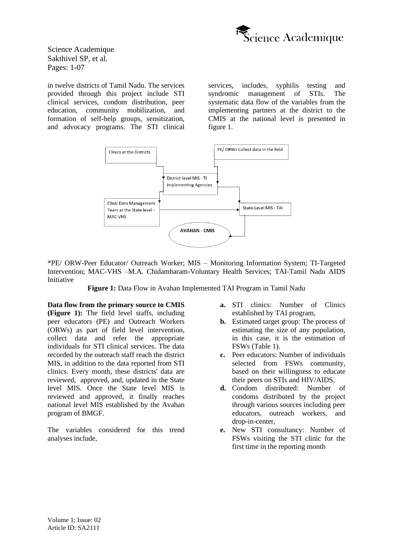

in twelve districts of Tamil Nadu. The services provided through this project include STI clinical services, condom distribution, peer education, community mobilization, and formation of self-help groups, sensitization, and advocacy programs. The STI clinical services, includes, syphilis testing and syndromic management of STIs. The systematic data flow of the variables from the implementing partners at the district to the CMIS at the national level is presented in figure 1.



\*PE/ ORW-Peer Educator/ Outreach Worker; MIS – Monitoring Information System; TI-Targeted Intervention; MAC-VHS –M.A. Chidambaram-Voluntary Health Services; TAI-Tamil Nadu AIDS Initiative

**Figure 1:** Data Flow in Avahan Implemented TAI Program in Tamil Nadu

**Data flow from the primary source to CMIS (Figure 1):** The field level staffs, including peer educators (PE) and Outreach Workers (ORWs) as part of field level intervention, collect data and refer the appropriate individuals for STI clinical services. The data recorded by the outreach staff reach the district MIS, in addition to the data reported from STI clinics. Every month, these districts' data are reviewed, approved, and, updated in the State level MIS. Once the State level MIS is reviewed and approved, it finally reaches national level MIS established by the Avahan program of BMGF.

The variables considered for this trend analyses include,

- **a.** STI clinics: Number of Clinics established by TAI program,
- **b.** Estimated target group: The process of estimating the size of any population, in this case, it is the estimation of FSWs (Table 1).
- **c.** Peer educators: Number of individuals selected from FSWs community, based on their willingness to educate their peers on STIs and HIV/AIDS,
- **d.** Condom distributed: Number of condoms distributed by the project through various sources including peer educators, outreach workers, and drop-in-center,
- **e.** New STI consultancy: Number of FSWs visiting the STI clinic for the first time in the reporting month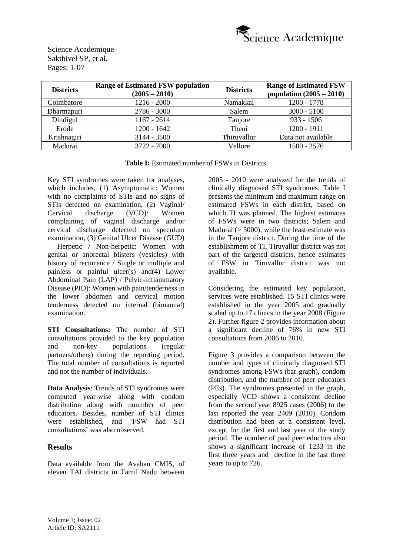

| <b>Districts</b> | <b>Range of Estimated FSW population</b><br>$(2005 - 2010)$ | <b>Districts</b> | <b>Range of Estimated FSW</b><br>population $(2005 - 2010)$ |
|------------------|-------------------------------------------------------------|------------------|-------------------------------------------------------------|
| Coimbatore       | $1216 - 2000$                                               | Namakkal         | 1200 - 1778                                                 |
| Dharmapuri       | $2786 - 3000$                                               | Salem            | $3000 - 5100$                                               |
| Dindigul         | $1167 - 2614$                                               | Tanjore          | $933 - 1506$                                                |
| Erode            | $1200 - 1642$                                               | Theni            | $1200 - 1911$                                               |
| Krishnagiri      | $3144 - 3500$                                               | Thiruvallur      | Data not available                                          |
| Madurai          | 3722 - 7000                                                 | Vellore          | $1500 - 2576$                                               |

**Table I:** Estimated number of FSWs in Districts.

Key STI syndromes were taken for analyses, which includes, (1) Asymptomatic: Women with no complaints of STIs and no signs of STIs detected on examination, (2) Vaginal/ Cervical discharge (VCD): Women complaining of vaginal discharge and/or cervical discharge detected on speculum examination, (3) Genital Ulcer Disease (GUD) – Herpetic / Non-herpetic: Women with genital or anorectal blisters (vesicles) with history of recurrence / Single or multiple and painless or painful ulcer(s) and(4) Lower Abdominal Pain (LAP) / Pelvic-inflammatory Disease (PID): Women with pain/tenderness in the lower abdomen and cervical motion tenderness detected on internal (bimanual) examination.

**STI Consultations:** The number of STI consultations provided to the key population and non-key populations (regular partners/others) during the reporting period. The total number of consultations is reported and not the number of individuals.

**Data Analysis**: Trends of STI syndromes were computed year-wise along with condom distribution along with nunmber of peer educators. Besides, number of STI clinics were established, and 'FSW had STI consultations' was also observed.

## **Results**

Data available from the Avahan CMIS, of eleven TAI districts in Tamil Nadu between

2005 - 2010 were analyzed for the trends of clinically diagnosed STI syndromes. Table I presents the minimum and maximum range on estimated FSWs in each district, based on which TI was planned. The highest estimates of FSWs were in two districts; Salem and Madurai  $($  > 5000), while the least estimate was in the Tanjore district. During the time of the establishment of TI, Tiruvallur district was not part of the targeted districts, hence estimates of FSW in Tiruvallur district was not available.

Considering the estimated key population, services were established. 15 STI clinics were established in the year 2005 and gradually scaled up to 17 clinics in the year 2008 (Figure 2). Further figure 2 provides information about a significant decline of 76% in new STI consultations from 2006 to 2010.

Figure 3 provides a comparison between the number and types of clinically diagnosed STI syndromes among FSWs (bar graph), condom distribution, and the number of peer educators (PEs). The syndromes presented in the graph, especially VCD shows a consistent decline from the second year 8925 cases (2006) to the last reported the year 2409 (2010). Condom distribution had been at a consistent level, except for the first and last year of the study period. The number of paid peer eductors also shows a significant increase of 1233 in the first three years and decline in the last three years to up to 726.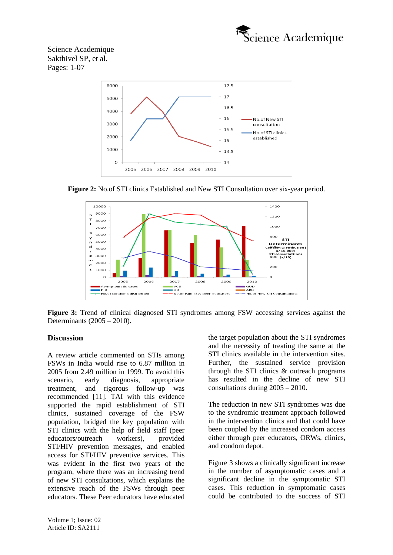



**Figure 2:** No.of STI clinics Established and New STI Consultation over six-year period.



**Figure 3:** Trend of clinical diagnosed STI syndromes among FSW accessing services against the Determinants (2005 – 2010).

#### **Discussion**

A review article commented on STIs among FSWs in India would rise to 6.87 million in 2005 from 2.49 million in 1999. To avoid this scenario, early diagnosis, appropriate treatment, and rigorous follow-up was recommended [11]. TAI with this evidence supported the rapid establishment of STI clinics, sustained coverage of the FSW population, bridged the key population with STI clinics with the help of field staff (peer educators/outreach workers), provided STI/HIV prevention messages, and enabled access for STI/HIV preventive services. This was evident in the first two years of the program, where there was an increasing trend of new STI consultations, which explains the extensive reach of the FSWs through peer educators. These Peer educators have educated

the target population about the STI syndromes and the necessity of treating the same at the STI clinics available in the intervention sites. Further, the sustained service provision through the STI clinics & outreach programs has resulted in the decline of new STI consultations during 2005 – 2010.

The reduction in new STI syndromes was due to the syndromic treatment approach followed in the intervention clinics and that could have been coupled by the increased condom access either through peer educators, ORWs, clinics, and condom depot.

Figure 3 shows a clinically significant increase in the number of asymptomatic cases and a significant decline in the symptomatic STI cases. This reduction in symptomatic cases could be contributed to the success of STI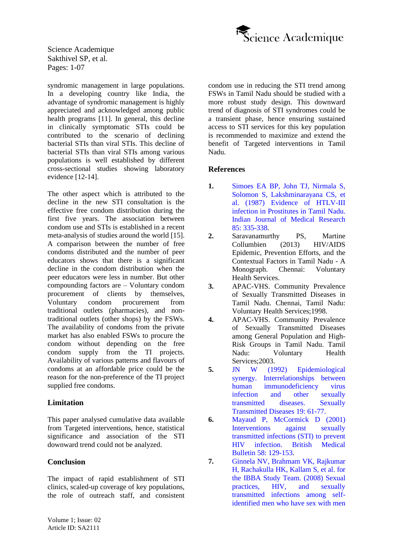

syndromic management in large populations. In a developing country like India, the advantage of syndromic management is highly appreciated and acknowledged among public health programs [11]. In general, this decline in clinically symptomatic STIs could be contributed to the scenario of declining bacterial STIs than viral STIs. This decline of bacterial STIs than viral STIs among various populations is well established by different cross-sectional studies showing laboratory evidence [12-14].

The other aspect which is attributed to the decline in the new STI consultation is the effective free condom distribution during the first five years. The association between condom use and STIs is established in a recent meta-analysis of studies around the world [15]. A comparison between the number of free condoms distributed and the number of peer educators shows that there is a significant decline in the condom distribution when the peer educators were less in number. But other compounding factors are – Voluntary condom procurement of clients by themselves, Voluntary condom procurement from traditional outlets (pharmacies), and nontraditional outlets (other shops) by the FSWs. The availability of condoms from the private market has also enabled FSWs to procure the condom without depending on the free condom supply from the TI projects. Availability of various patterns and flavours of condoms at an affordable price could be the reason for the non-preference of the TI project supplied free condoms.

# **Limitation**

This paper analysed cumulative data available from Targeted interventions, hence, statistical significance and association of the STI downward trend could not be analyzed.

# **Conclusion**

The impact of rapid establishment of STI clinics, scaled-up coverage of key populations, the role of outreach staff, and consistent condom use in reducing the STI trend among FSWs in Tamil Nadu should be studied with a more robust study design. This downward trend of diagnosis of STI syndromes could be a transient phase, hence ensuring sustained access to STI services for this key population is recommended to maximize and extend the benefit of Targeted interventions in Tamil Nadu.

# **References**

- **1.** [Simoes EA BP, John TJ, Nirmala S,](https://pubmed.ncbi.nlm.nih.gov/3623641/)  [Solomon S, Lakshminarayana CS,](https://pubmed.ncbi.nlm.nih.gov/3623641/) et al. (1987) [Evidence of HTLV-III](https://pubmed.ncbi.nlm.nih.gov/3623641/)  [infection in Prostitutes in Tamil Nadu.](https://pubmed.ncbi.nlm.nih.gov/3623641/)  [Indian Journal of Medical Research](https://pubmed.ncbi.nlm.nih.gov/3623641/) 85: [335-338.](https://pubmed.ncbi.nlm.nih.gov/3623641/)
- **2.** Saravanamurthy PS, Martine Collumbien (2013) HIV/AIDS Epidemic, Prevention Efforts, and the Contextual Factors in Tamil Nadu - A Monograph. Chennai: Voluntary Health Services.
- **3.** APAC-VHS. Community Prevalence of Sexually Transmitted Diseases in Tamil Nadu. Chennai, Tamil Nadu: Voluntary Health Services;1998.
- **4.** APAC-VHS. Community Prevalence of Sexually Transmitted Diseases among General Population and High-Risk Groups in Tamil Nadu. Tamil Nadu: Voluntary Health Services;2003.
- **5.** JN W [\(1992\) Epidemiological](https://pubmed.ncbi.nlm.nih.gov/1595015/)  [synergy. Interrelationships between](https://pubmed.ncbi.nlm.nih.gov/1595015/)  [human immunodeficiency virus](https://pubmed.ncbi.nlm.nih.gov/1595015/)  [infection and other sexually](https://pubmed.ncbi.nlm.nih.gov/1595015/)  [transmitted diseases. Sexually](https://pubmed.ncbi.nlm.nih.gov/1595015/)  [Transmitted Diseases](https://pubmed.ncbi.nlm.nih.gov/1595015/) 19: 61-77.
- **6.** Mayaud [P, McCormick](https://www.gov.uk/research-for-development-outputs/interventions-against-sexually-transmitted-infections-sti-to-prevent-hiv-infection) D (2001) [Interventions against sexually](https://www.gov.uk/research-for-development-outputs/interventions-against-sexually-transmitted-infections-sti-to-prevent-hiv-infection)  [transmitted infections \(STI\) to prevent](https://www.gov.uk/research-for-development-outputs/interventions-against-sexually-transmitted-infections-sti-to-prevent-hiv-infection) [HIV infection. British Medical](https://www.gov.uk/research-for-development-outputs/interventions-against-sexually-transmitted-infections-sti-to-prevent-hiv-infection)  Bulletin 58: [129-153.](https://www.gov.uk/research-for-development-outputs/interventions-against-sexually-transmitted-infections-sti-to-prevent-hiv-infection)
- **7.** Ginnela NV, [Brahmam VK, Rajkumar](https://pubmed.ncbi.nlm.nih.gov/19098479/) [H, Rachakulla](https://pubmed.ncbi.nlm.nih.gov/19098479/) HK, Kallam S, et al. for [the IBBA Study Team. \(2008\) Sexual](https://pubmed.ncbi.nlm.nih.gov/19098479/)  [practices, HIV, and sexually](https://pubmed.ncbi.nlm.nih.gov/19098479/)  [transmitted infections among self](https://pubmed.ncbi.nlm.nih.gov/19098479/)[identified men who have sex with men](https://pubmed.ncbi.nlm.nih.gov/19098479/)